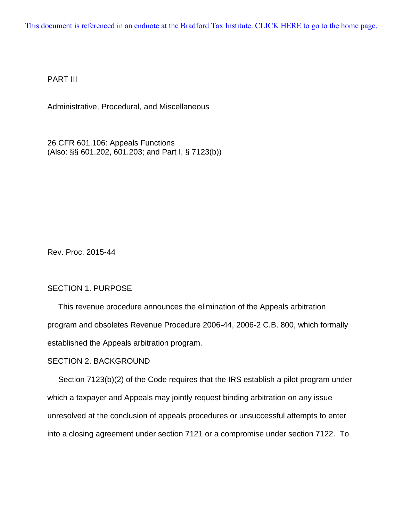[This document is referenced in an endnote at the Bradford Tax Institute. CLICK HERE to go to the home page.](www.bradfordtaxinstitute.com)

PART III

Administrative, Procedural, and Miscellaneous

26 CFR 601.106: Appeals Functions (Also: §§ 601.202, 601.203; and Part I, § 7123(b))

Rev. Proc. 2015-44

# SECTION 1. PURPOSE

 This revenue procedure announces the elimination of the Appeals arbitration program and obsoletes Revenue Procedure 2006-44, 2006-2 C.B. 800, which formally established the Appeals arbitration program.

### SECTION 2. BACKGROUND

 Section 7123(b)(2) of the Code requires that the IRS establish a pilot program under which a taxpayer and Appeals may jointly request binding arbitration on any issue unresolved at the conclusion of appeals procedures or unsuccessful attempts to enter into a closing agreement under section 7121 or a compromise under section 7122. To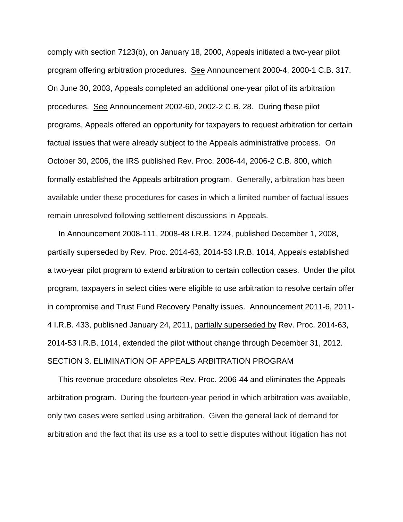comply with section 7123(b), on January 18, 2000, Appeals initiated a two-year pilot program offering arbitration procedures. See Announcement 2000-4, 2000-1 C.B. 317. On June 30, 2003, Appeals completed an additional one-year pilot of its arbitration procedures. See Announcement 2002-60, 2002-2 C.B. 28. During these pilot programs, Appeals offered an opportunity for taxpayers to request arbitration for certain factual issues that were already subject to the Appeals administrative process. On October 30, 2006, the IRS published Rev. Proc. 2006-44, 2006-2 C.B. 800, which formally established the Appeals arbitration program. Generally, arbitration has been available under these procedures for cases in which a limited number of factual issues remain unresolved following settlement discussions in Appeals.

 In Announcement 2008-111, 2008-48 I.R.B. 1224, published December 1, 2008, partially superseded by Rev. Proc. 2014-63, 2014-53 I.R.B. 1014, Appeals established a two-year pilot program to extend arbitration to certain collection cases. Under the pilot program, taxpayers in select cities were eligible to use arbitration to resolve certain offer in compromise and Trust Fund Recovery Penalty issues. Announcement 2011-6, 2011- 4 I.R.B. 433, published January 24, 2011, partially superseded by Rev. Proc. 2014-63, 2014-53 I.R.B. 1014, extended the pilot without change through December 31, 2012. SECTION 3. ELIMINATION OF APPEALS ARBITRATION PROGRAM

 This revenue procedure obsoletes Rev. Proc. 2006-44 and eliminates the Appeals arbitration program. During the fourteen-year period in which arbitration was available, only two cases were settled using arbitration. Given the general lack of demand for arbitration and the fact that its use as a tool to settle disputes without litigation has not